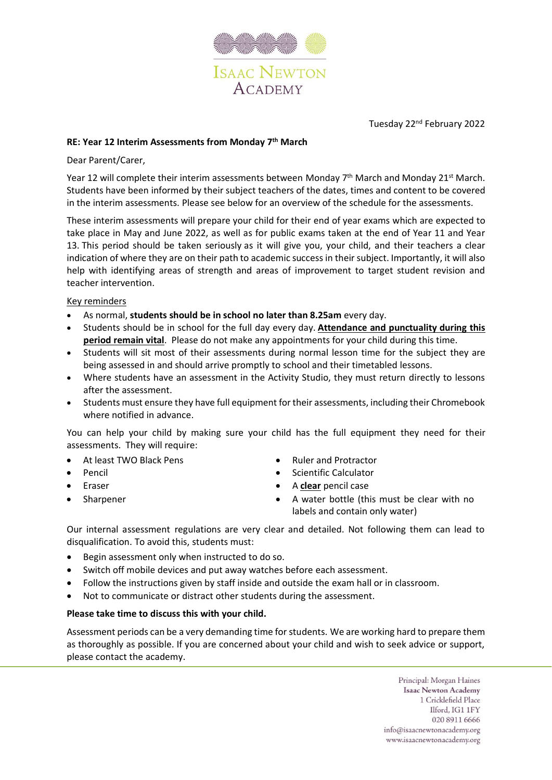

Tuesday 22nd February 2022

# **RE: Year 12 Interim Assessments from Monday 7 th March**

### Dear Parent/Carer,

Year 12 will complete their interim assessments between Monday 7<sup>th</sup> March and Monday 21<sup>st</sup> March. Students have been informed by their subject teachers of the dates, times and content to be covered in the interim assessments. Please see below for an overview of the schedule for the assessments.

These interim assessments will prepare your child for their end of year exams which are expected to take place in May and June 2022, as well as for public exams taken at the end of Year 11 and Year 13. This period should be taken seriously as it will give you, your child, and their teachers a clear indication of where they are on their path to academic success in their subject. Importantly, it will also help with identifying areas of strength and areas of improvement to target student revision and teacher intervention.

#### Key reminders

- As normal, **students should be in school no later than 8.25am** every day.
- Students should be in school for the full day every day. **Attendance and punctuality during this period remain vital**. Please do not make any appointments for your child during this time.
- Students will sit most of their assessments during normal lesson time for the subject they are being assessed in and should arrive promptly to school and their timetabled lessons.
- Where students have an assessment in the Activity Studio, they must return directly to lessons after the assessment.
- Students must ensure they have full equipment for their assessments, including their Chromebook where notified in advance.

You can help your child by making sure your child has the full equipment they need for their assessments. They will require:

- At least TWO Black Pens
- Pencil
- **Eraser**
- **Sharpener**
- Ruler and Protractor
- Scientific Calculator
- A **clear** pencil case
- A water bottle (this must be clear with no labels and contain only water)

Our internal assessment regulations are very clear and detailed. Not following them can lead to disqualification. To avoid this, students must:

- Begin assessment only when instructed to do so.
- Switch off mobile devices and put away watches before each assessment.
- Follow the instructions given by staff inside and outside the exam hall or in classroom.
- Not to communicate or distract other students during the assessment.

## **Please take time to discuss this with your child.**

Assessment periods can be a very demanding time for students. We are working hard to prepare them as thoroughly as possible. If you are concerned about your child and wish to seek advice or support, please contact the academy.

> Principal: Morgan Haines **Isaac Newton Academy** 1 Cricklefield Place Ilford, IG1 1FY 020 8911 6666 info@isaacnewtonacademy.org www.isaacnewtonacademy.org